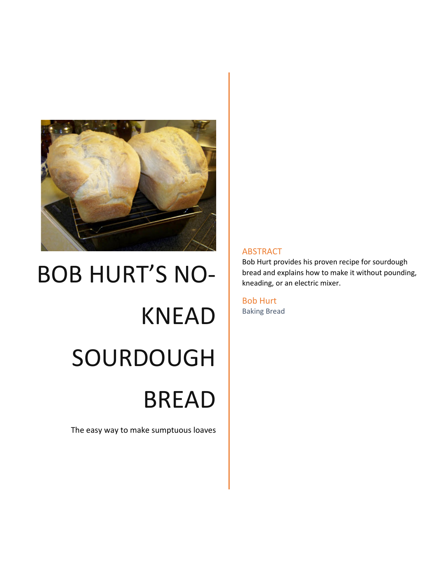

# BOB HURT'S NO-KNEAD SOURDOUGH BREAD

The easy way to make sumptuous loaves

#### ABSTRACT

Bob Hurt provides his proven recipe for sourdough bread and explains how to make it without pounding, kneading, or an electric mixer.

Bob Hurt Baking Bread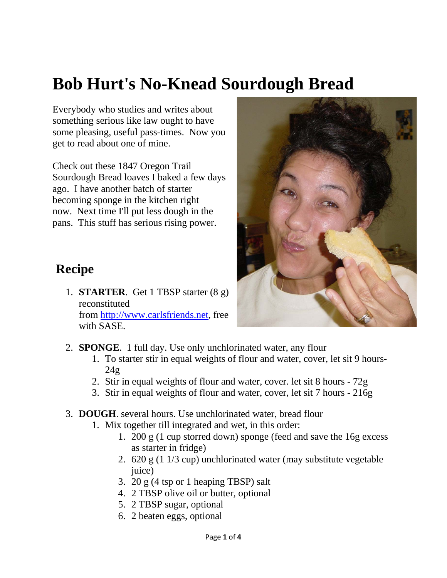## **Bob Hurt's No-Knead Sourdough Bread**

Everybody who studies and writes about something serious like law ought to have some pleasing, useful pass-times. Now you get to read about one of mine.

Check out these 1847 Oregon Trail Sourdough Bread loaves I baked a few days ago. I have another batch of starter becoming sponge in the kitchen right now. Next time I'll put less dough in the pans. This stuff has serious rising power.

## **Recipe**

1. **STARTER**. Get 1 TBSP starter (8 g) reconstituted from [http://www.carlsfriends.net,](http://www.carlsfriends.net/) free with SASE.



- 2. **SPONGE**. 1 full day. Use only unchlorinated water, any flour
	- 1. To starter stir in equal weights of flour and water, cover, let sit 9 hours- $24g$
	- 2. Stir in equal weights of flour and water, cover. let sit 8 hours 72g
	- 3. Stir in equal weights of flour and water, cover, let sit 7 hours 216g
- 3. **DOUGH**. several hours. Use unchlorinated water, bread flour
	- 1. Mix together till integrated and wet, in this order:
		- 1. 200 g (1 cup storred down) sponge (feed and save the 16g excess as starter in fridge)
		- 2. 620 g (1 1/3 cup) unchlorinated water (may substitute vegetable juice)
		- 3. 20 g (4 tsp or 1 heaping TBSP) salt
		- 4. 2 TBSP olive oil or butter, optional
		- 5. 2 TBSP sugar, optional
		- 6. 2 beaten eggs, optional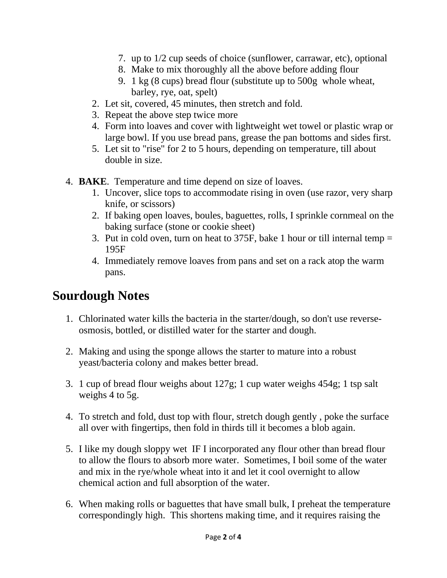- 7. up to 1/2 cup seeds of choice (sunflower, carrawar, etc), optional
- 8. Make to mix thoroughly all the above before adding flour
- 9. 1 kg (8 cups) bread flour (substitute up to 500g whole wheat, barley, rye, oat, spelt)
- 2. Let sit, covered, 45 minutes, then stretch and fold.
- 3. Repeat the above step twice more
- 4. Form into loaves and cover with lightweight wet towel or plastic wrap or large bowl. If you use bread pans, grease the pan bottoms and sides first.
- 5. Let sit to "rise" for 2 to 5 hours, depending on temperature, till about double in size.
- 4. **BAKE**. Temperature and time depend on size of loaves.
	- 1. Uncover, slice tops to accommodate rising in oven (use razor, very sharp knife, or scissors)
	- 2. If baking open loaves, boules, baguettes, rolls, I sprinkle cornmeal on the baking surface (stone or cookie sheet)
	- 3. Put in cold oven, turn on heat to 375F, bake 1 hour or till internal temp = 195F
	- 4. Immediately remove loaves from pans and set on a rack atop the warm pans.

## **Sourdough Notes**

- 1. Chlorinated water kills the bacteria in the starter/dough, so don't use reverseosmosis, bottled, or distilled water for the starter and dough.
- 2. Making and using the sponge allows the starter to mature into a robust yeast/bacteria colony and makes better bread.
- 3. 1 cup of bread flour weighs about 127g; 1 cup water weighs 454g; 1 tsp salt weighs 4 to 5g.
- 4. To stretch and fold, dust top with flour, stretch dough gently , poke the surface all over with fingertips, then fold in thirds till it becomes a blob again.
- 5. I like my dough sloppy wet IF I incorporated any flour other than bread flour to allow the flours to absorb more water. Sometimes, I boil some of the water and mix in the rye/whole wheat into it and let it cool overnight to allow chemical action and full absorption of the water.
- 6. When making rolls or baguettes that have small bulk, I preheat the temperature correspondingly high. This shortens making time, and it requires raising the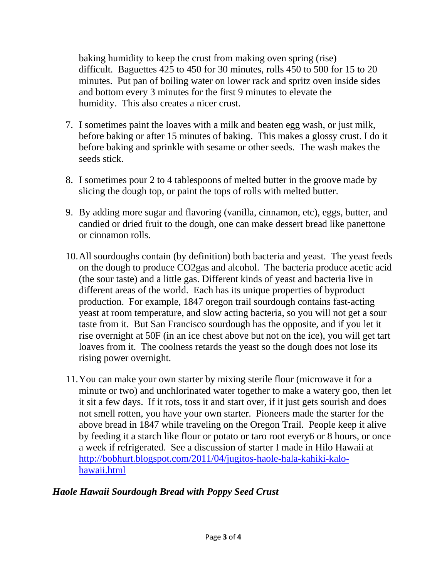baking humidity to keep the crust from making oven spring (rise) difficult. Baguettes 425 to 450 for 30 minutes, rolls 450 to 500 for 15 to 20 minutes. Put pan of boiling water on lower rack and spritz oven inside sides and bottom every 3 minutes for the first 9 minutes to elevate the humidity. This also creates a nicer crust.

- 7. I sometimes paint the loaves with a milk and beaten egg wash, or just milk, before baking or after 15 minutes of baking. This makes a glossy crust. I do it before baking and sprinkle with sesame or other seeds. The wash makes the seeds stick.
- 8. I sometimes pour 2 to 4 tablespoons of melted butter in the groove made by slicing the dough top, or paint the tops of rolls with melted butter.
- 9. By adding more sugar and flavoring (vanilla, cinnamon, etc), eggs, butter, and candied or dried fruit to the dough, one can make dessert bread like panettone or cinnamon rolls.
- 10.All sourdoughs contain (by definition) both bacteria and yeast. The yeast feeds on the dough to produce CO2gas and alcohol. The bacteria produce acetic acid (the sour taste) and a little gas. Different kinds of yeast and bacteria live in different areas of the world. Each has its unique properties of byproduct production. For example, 1847 oregon trail sourdough contains fast-acting yeast at room temperature, and slow acting bacteria, so you will not get a sour taste from it. But San Francisco sourdough has the opposite, and if you let it rise overnight at 50F (in an ice chest above but not on the ice), you will get tart loaves from it. The coolness retards the yeast so the dough does not lose its rising power overnight.
- 11.You can make your own starter by mixing sterile flour (microwave it for a minute or two) and unchlorinated water together to make a watery goo, then let it sit a few days. If it rots, toss it and start over, if it just gets sourish and does not smell rotten, you have your own starter. Pioneers made the starter for the above bread in 1847 while traveling on the Oregon Trail. People keep it alive by feeding it a starch like flour or potato or taro root every6 or 8 hours, or once a week if refrigerated. See a discussion of starter I made in Hilo Hawaii at [http://bobhurt.blogspot.com/2011/04/jugitos-haole-hala-kahiki-kalo](http://bobhurt.blogspot.com/2011/04/jugitos-haole-hala-kahiki-kalo-hawaii.html)[hawaii.html](http://bobhurt.blogspot.com/2011/04/jugitos-haole-hala-kahiki-kalo-hawaii.html)

### *Haole Hawaii Sourdough Bread with Poppy Seed Crust*